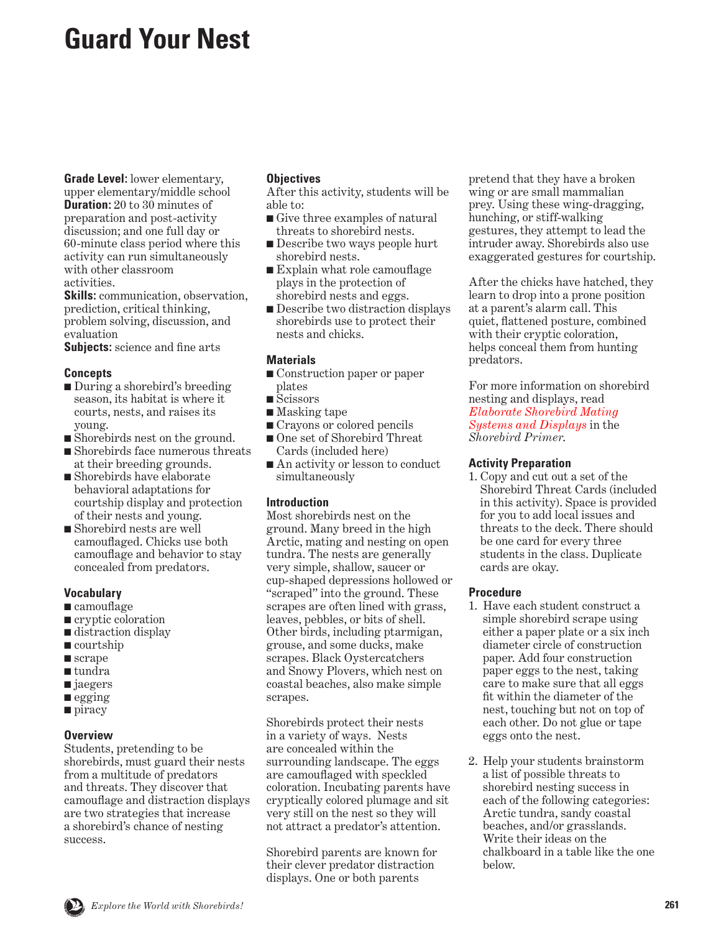# **Guard Your Nest**

**Grade Level:** lower elementary, upper elementary/middle school **Duration:** 20 to 30 minutes of preparation and post-activity discussion; and one full day or 60-minute class period where this activity can run simultaneously with other classroom activities.

**Skills:** communication, observation, prediction, critical thinking, problem solving, discussion, and evaluation

**Subjects:** science and fine arts

## **Concepts**

- During a shorebird's breeding season, its habitat is where it courts, nests, and raises its young.
- Shorebirds nest on the ground.
- Shorebirds face numerous threats at their breeding grounds.
- Shorebirds have elaborate behavioral adaptations for courtship display and protection of their nests and young.
- Shorebird nests are well camouflaged. Chicks use both camouflage and behavior to stay concealed from predators.

# **Vocabulary**

- camouflage
- cryptic coloration
- distraction display
- courtship
- scrape
- tundra
- jaegers
- egging
- piracy

# **Overview**

Students, pretending to be shorebirds, must guard their nests from a multitude of predators and threats. They discover that camouflage and distraction displays are two strategies that increase a shorebird's chance of nesting success.

## **Objectives**

After this activity, students will be able to:

- Give three examples of natural threats to shorebird nests.
- Describe two ways people hurt shorebird nests.
- Explain what role camouflage plays in the protection of shorebird nests and eggs.
- Describe two distraction displays shorebirds use to protect their nests and chicks.

# **Materials**

- Construction paper or paper plates
- Scissors
- Masking tape
- Crayons or colored pencils
- One set of Shorebird Threat Cards (included here)
- An activity or lesson to conduct simultaneously

# **Introduction**

Most shorebirds nest on the ground. Many breed in the high Arctic, mating and nesting on open tundra. The nests are generally very simple, shallow, saucer or cup-shaped depressions hollowed or "scraped" into the ground. These scrapes are often lined with grass, leaves, pebbles, or bits of shell. Other birds, including ptarmigan, grouse, and some ducks, make scrapes. Black Oystercatchers and Snowy Plovers, which nest on coastal beaches, also make simple scrapes.

Shorebirds protect their nests in a variety of ways. Nests are concealed within the surrounding landscape. The eggs are camouflaged with speckled coloration. Incubating parents have cryptically colored plumage and sit very still on the nest so they will not attract a predator's attention.

Shorebird parents are known for their clever predator distraction displays. One or both parents

pretend that they have a broken wing or are small mammalian prey. Using these wing-dragging, hunching, or stiff-walking gestures, they attempt to lead the intruder away. Shorebirds also use exaggerated gestures for courtship.

After the chicks have hatched, they learn to drop into a prone position at a parent's alarm call. This quiet, flattened posture, combined with their cryptic coloration, helps conceal them from hunting predators.

For more information on shorebird nesting and displays, read *[Elaborate Shorebird Mating](#page-28-0) Systems and Displays* in the *Shorebird Primer*.

## **Activity Preparation**

1. Copy and cut out a set of the Shorebird Threat Cards (included in this activity). Space is provided for you to add local issues and threats to the deck. There should be one card for every three students in the class. Duplicate cards are okay.

# **Procedure**

- 1. Have each student construct a simple shorebird scrape using either a paper plate or a six inch diameter circle of construction paper. Add four construction paper eggs to the nest, taking care to make sure that all eggs fit within the diameter of the nest, touching but not on top of each other. Do not glue or tape eggs onto the nest.
- 2. Help your students brainstorm a list of possible threats to shorebird nesting success in each of the following categories: Arctic tundra, sandy coastal beaches, and/or grasslands. Write their ideas on the chalkboard in a table like the one below.

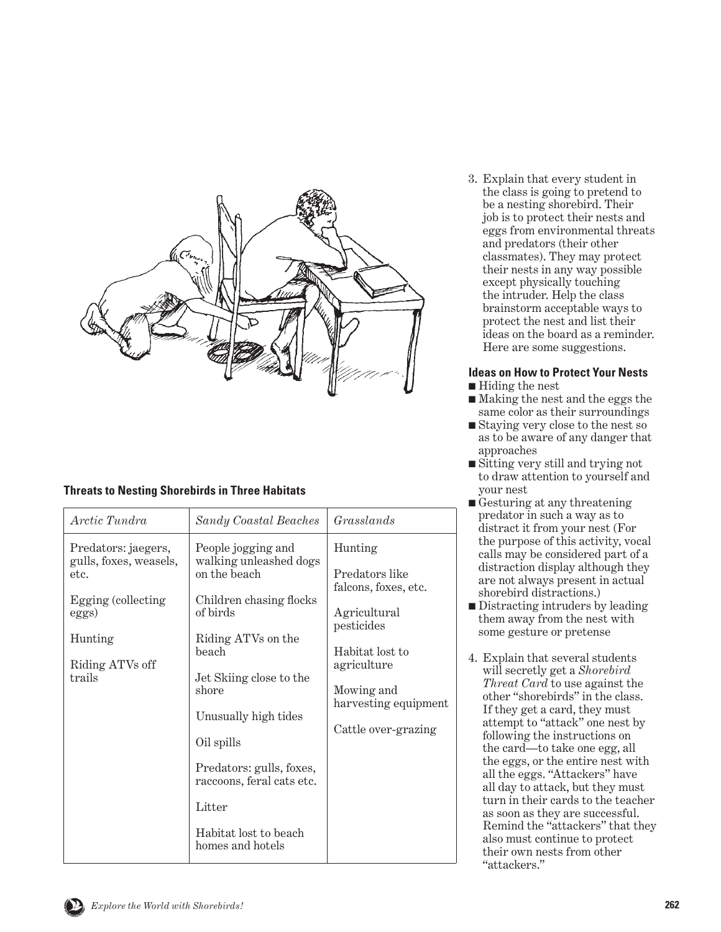

# **Threats to Nesting Shorebirds in Three Habitats**

| Arctic Tundra                                                                                                                | Sandy Coastal Beaches                                                                                                                                                                                                                                                                                                        | Grasslands                                                                                                                                                                     |
|------------------------------------------------------------------------------------------------------------------------------|------------------------------------------------------------------------------------------------------------------------------------------------------------------------------------------------------------------------------------------------------------------------------------------------------------------------------|--------------------------------------------------------------------------------------------------------------------------------------------------------------------------------|
| Predators: jaegers,<br>gulls, foxes, weasels,<br>etc.<br>Egging (collecting<br>eggs)<br>Hunting<br>Riding ATVs off<br>trails | People jogging and<br>walking unleashed dogs<br>on the beach<br>Children chasing flocks<br>of birds<br>Riding ATVs on the<br>heach<br>Jet Skiing close to the<br>shore<br>Unusually high tides<br>Oil spills<br>Predators: gulls, foxes,<br>raccoons, feral cats etc.<br>Litter<br>Habitat lost to beach<br>homes and hotels | Hunting<br>Predators like<br>falcons, foxes, etc.<br>Agricultural<br>pesticides<br>Habitat lost to<br>agriculture<br>Mowing and<br>harvesting equipment<br>Cattle over-grazing |

3. Explain that every student in the class is going to pretend to be a nesting shorebird. Their job is to protect their nests and eggs from environmental threats and predators (their other classmates). They may protect their nests in any way possible except physically touching the intruder. Help the class brainstorm acceptable ways to protect the nest and list their ideas on the board as a reminder. Here are some suggestions.

# **Ideas on How to Protect Your Nests**

- Hiding the nest
- Making the nest and the eggs the same color as their surroundings
- Staying very close to the nest so as to be aware of any danger that approaches
- Sitting very still and trying not to draw attention to yourself and your nest
- Gesturing at any threatening predator in such a way as to distract it from your nest (For the purpose of this activity, vocal calls may be considered part of a distraction display although they are not always present in actual shorebird distractions.)
- Distracting intruders by leading them away from the nest with some gesture or pretense
- 4. Explain that several students will secretly get a *Shorebird Threat Card* to use against the other "shorebirds" in the class. If they get a card, they must attempt to "attack" one nest by following the instructions on the card—to take one egg, all the eggs, or the entire nest with all the eggs. "Attackers" have all day to attack, but they must turn in their cards to the teacher as soon as they are successful. Remind the "attackers" that they also must continue to protect their own nests from other "attackers."

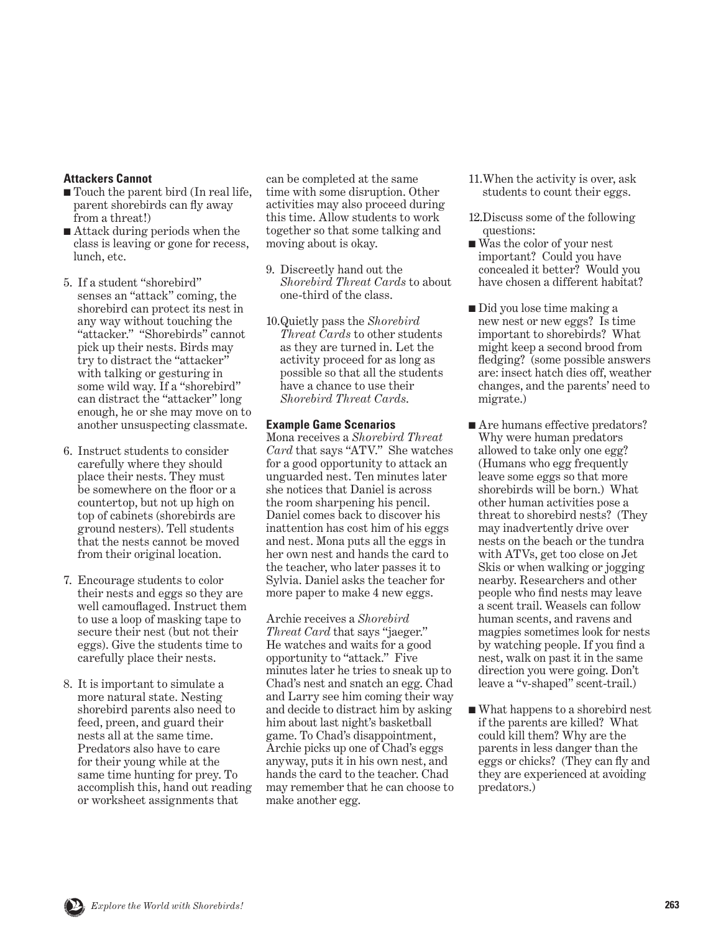## **Attackers Cannot**

- Touch the parent bird (In real life, parent shorebirds can fly away from a threat!)
- Attack during periods when the class is leaving or gone for recess, lunch, etc.
- 5. If a student "shorebird" senses an "attack" coming, the shorebird can protect its nest in any way without touching the "attacker." "Shorebirds" cannot pick up their nests. Birds may try to distract the "attacker" with talking or gesturing in some wild way. If a "shorebird" can distract the "attacker" long enough, he or she may move on to another unsuspecting classmate.
- 6. Instruct students to consider carefully where they should place their nests. They must be somewhere on the floor or a countertop, but not up high on top of cabinets (shorebirds are ground nesters). Tell students that the nests cannot be moved from their original location.
- 7. Encourage students to color their nests and eggs so they are well camouflaged. Instruct them to use a loop of masking tape to secure their nest (but not their eggs). Give the students time to carefully place their nests.
- 8. It is important to simulate a more natural state. Nesting shorebird parents also need to feed, preen, and guard their nests all at the same time. Predators also have to care for their young while at the same time hunting for prey. To accomplish this, hand out reading or worksheet assignments that

can be completed at the same time with some disruption. Other activities may also proceed during this time. Allow students to work together so that some talking and moving about is okay.

- 9. Discreetly hand out the *Shorebird Threat Cards* to about one-third of the class.
- 10. Quietly pass the *Shorebird Threat Cards* to other students as they are turned in. Let the activity proceed for as long as possible so that all the students have a chance to use their *Shorebird Threat Cards*.

#### **Example Game Scenarios**

Mona receives a *Shorebird Threat Card* that says "ATV." She watches for a good opportunity to attack an unguarded nest. Ten minutes later she notices that Daniel is across the room sharpening his pencil. Daniel comes back to discover his inattention has cost him of his eggs and nest. Mona puts all the eggs in her own nest and hands the card to the teacher, who later passes it to Sylvia. Daniel asks the teacher for more paper to make 4 new eggs.

Archie receives a *Shorebird Threat Card* that says "jaeger." He watches and waits for a good opportunity to "attack." Five minutes later he tries to sneak up to Chad's nest and snatch an egg. Chad and Larry see him coming their way and decide to distract him by asking him about last night's basketball game. To Chad's disappointment, Archie picks up one of Chad's eggs anyway, puts it in his own nest, and hands the card to the teacher. Chad may remember that he can choose to make another egg.

- 11. When the activity is over, ask students to count their eggs.
- 12. Discuss some of the following questions:
- Was the color of your nest important? Could you have concealed it better? Would you have chosen a different habitat?
- Did you lose time making a new nest or new eggs? Is time important to shorebirds? What might keep a second brood from fledging? (some possible answers are: insect hatch dies off, weather changes, and the parents' need to migrate.)
- Are humans effective predators? Why were human predators allowed to take only one egg? (Humans who egg frequently leave some eggs so that more shorebirds will be born.) What other human activities pose a threat to shorebird nests? (They may inadvertently drive over nests on the beach or the tundra with ATVs, get too close on Jet Skis or when walking or jogging nearby. Researchers and other people who find nests may leave a scent trail. Weasels can follow human scents, and ravens and magpies sometimes look for nests by watching people. If you find a nest, walk on past it in the same direction you were going. Don't leave a "v-shaped" scent-trail.)
- What happens to a shorebird nest if the parents are killed? What could kill them? Why are the parents in less danger than the eggs or chicks? (They can fly and they are experienced at avoiding predators.)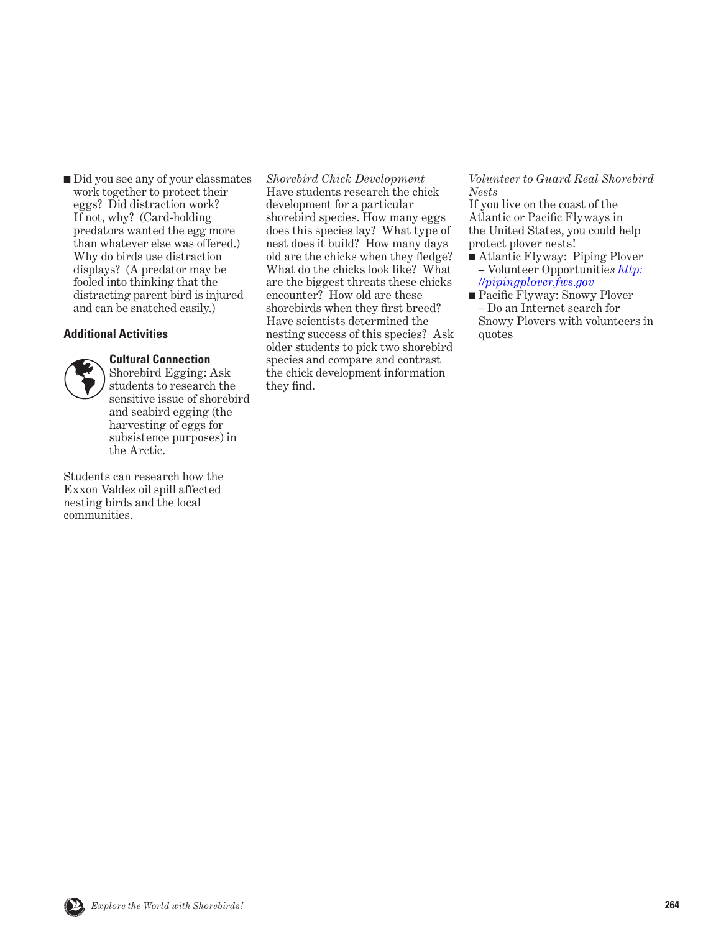■ Did you see any of your classmates work together to protect their eggs? Did distraction work? If not, why? (Card-holding predators wanted the egg more than whatever else was offered.) Why do birds use distraction displays? (A predator may be fooled into thinking that the distracting parent bird is injured and can be snatched easily.)

### **Additional Activities**

### **Cultural Connection**



Shorebird Egging: Ask students to research the sensitive issue of shorebird and seabird egging (the harvesting of eggs for subsistence purposes) in the Arctic.

Students can research how the Exxon Valdez oil spill affected nesting birds and the local communities.

*Shorebird Chick Development* Have students research the chick development for a particular shorebird species. How many eggs does this species lay? What type of nest does it build? How many days old are the chicks when they fledge? What do the chicks look like? What are the biggest threats these chicks encounter? How old are these shorebirds when they first breed? Have scientists determined the nesting success of this species? Ask older students to pick two shorebird species and compare and contrast the chick development information they find.

### *Volunteer to Guard Real Shorebird Nests*

If you live on the coast of the Atlantic or Pacific Flyways in the United States, you could help protect plover nests!

- Atlantic Flyway: Piping Plover – Volunteer Opportunitie*s [http:](http://pipingplover.fws.gov) [//pipingplover.fws.gov](http://pipingplover.fws.gov)*
- Pacific Flyway: Snowy Plover – Do an Internet search for Snowy Plovers with volunteers in quotes

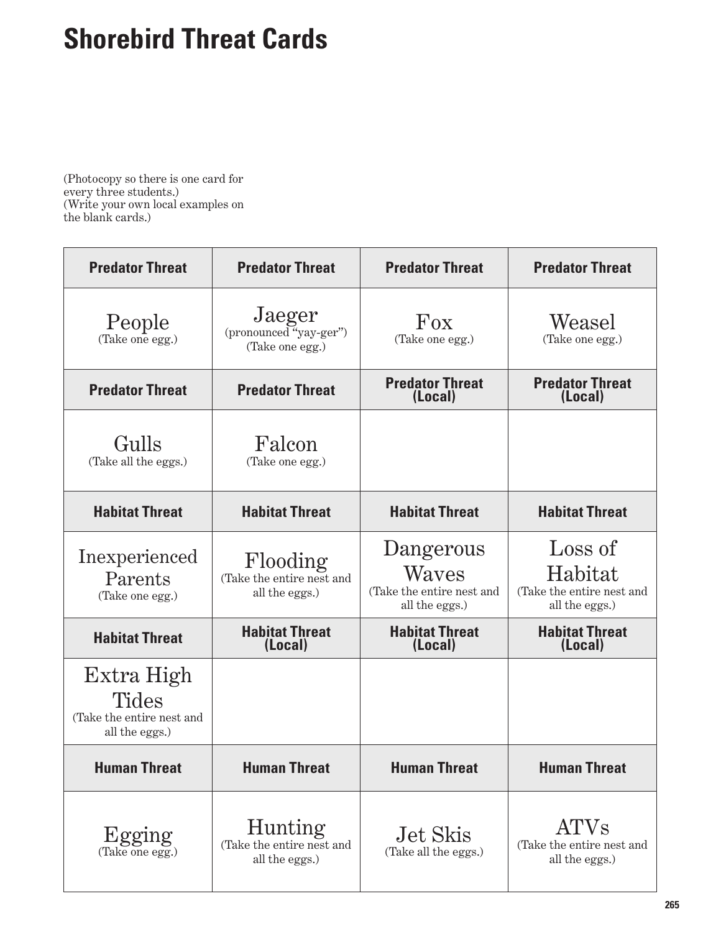# **Shorebird Threat Cards**

(Photocopy so there is one card for every three students.) (Write your own local examples on the blank cards.)

| <b>Predator Threat</b>                                                    | <b>Predator Threat</b>                                        | <b>Predator Threat</b>                                            | <b>Predator Threat</b>                                            |
|---------------------------------------------------------------------------|---------------------------------------------------------------|-------------------------------------------------------------------|-------------------------------------------------------------------|
| People<br>(Take one egg.)                                                 | Jaeger<br>(pronounced "yay-ger")<br>(Take one egg.)           | Fox<br>(Take one egg.)                                            | Weasel<br>(Take one egg.)                                         |
| <b>Predator Threat</b>                                                    | <b>Predator Threat</b>                                        | <b>Predator Threat</b><br>(Local)                                 | <b>Predator Threat</b><br>(Local)                                 |
| Gulls<br>(Take all the eggs.)                                             | Falcon<br>(Take one egg.)                                     |                                                                   |                                                                   |
| <b>Habitat Threat</b>                                                     | <b>Habitat Threat</b>                                         | <b>Habitat Threat</b>                                             | <b>Habitat Threat</b>                                             |
| Inexperienced<br>Parents<br>(Take one egg.)                               | Flooding<br>(Take the entire nest and<br>all the eggs.)       | Dangerous<br>Waves<br>(Take the entire nest and<br>all the eggs.) | Loss of<br>Habitat<br>(Take the entire nest and<br>all the eggs.) |
| <b>Habitat Threat</b>                                                     | <b>Habitat Threat</b><br>(Local)                              | <b>Habitat Threat</b><br>(Local)                                  | <b>Habitat Threat</b><br>(Local)                                  |
| Extra High<br><b>Tides</b><br>(Take the entire nest and<br>all the eggs.) |                                                               |                                                                   |                                                                   |
| <b>Human Threat</b>                                                       | <b>Human Threat</b>                                           | <b>Human Threat</b>                                               | <b>Human Threat</b>                                               |
| Egging<br>(Take one egg.)                                                 | <b>Hunting</b><br>(Take the entire nest and<br>all the eggs.) | Jet Skis<br>(Take all the eggs.)                                  | <b>ATVs</b><br>(Take the entire nest and<br>all the eggs.)        |